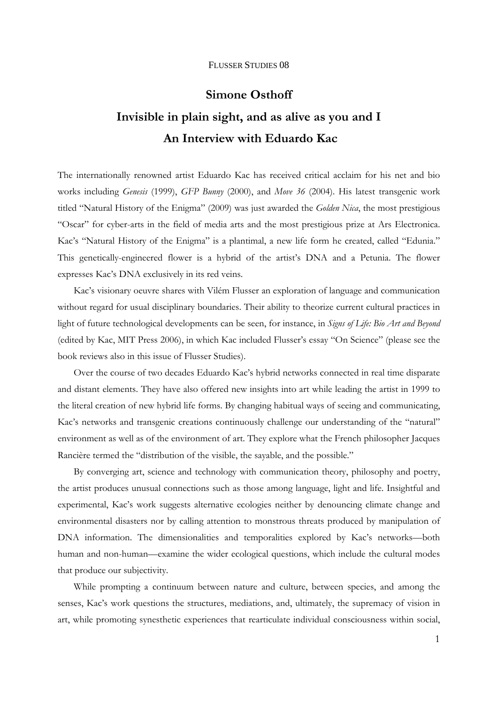# **Simone Osthoff Invisible in plain sight, and as alive as you and I An Interview with Eduardo Kac**

The internationally renowned artist Eduardo Kac has received critical acclaim for his net and bio works including *Genesis* (1999), *GFP Bunny* (2000), and *Move 36* (2004). His latest transgenic work titled "Natural History of the Enigma" (2009) was just awarded the *Golden Nica*, the most prestigious "Oscar" for cyber-arts in the field of media arts and the most prestigious prize at Ars Electronica. Kac's "Natural History of the Enigma" is a plantimal, a new life form he created, called "Edunia." This genetically-engineered flower is a hybrid of the artist's DNA and a Petunia. The flower expresses Kac's DNA exclusively in its red veins.

Kac's visionary oeuvre shares with Vilém Flusser an exploration of language and communication without regard for usual disciplinary boundaries. Their ability to theorize current cultural practices in light of future technological developments can be seen, for instance, in *Signs of Life: Bio Art and Beyond* (edited by Kac, MIT Press 2006), in which Kac included Flusser's essay "On Science" (please see the book reviews also in this issue of Flusser Studies).

 Over the course of two decades Eduardo Kac's hybrid networks connected in real time disparate and distant elements. They have also offered new insights into art while leading the artist in 1999 to the literal creation of new hybrid life forms. By changing habitual ways of seeing and communicating, Kac's networks and transgenic creations continuously challenge our understanding of the "natural" environment as well as of the environment of art. They explore what the French philosopher Jacques Rancière termed the "distribution of the visible, the sayable, and the possible."

By converging art, science and technology with communication theory, philosophy and poetry, the artist produces unusual connections such as those among language, light and life. Insightful and experimental, Kac's work suggests alternative ecologies neither by denouncing climate change and environmental disasters nor by calling attention to monstrous threats produced by manipulation of DNA information. The dimensionalities and temporalities explored by Kac's networks—both human and non-human—examine the wider ecological questions, which include the cultural modes that produce our subjectivity.

While prompting a continuum between nature and culture, between species, and among the senses, Kac's work questions the structures, mediations, and, ultimately, the supremacy of vision in art, while promoting synesthetic experiences that rearticulate individual consciousness within social,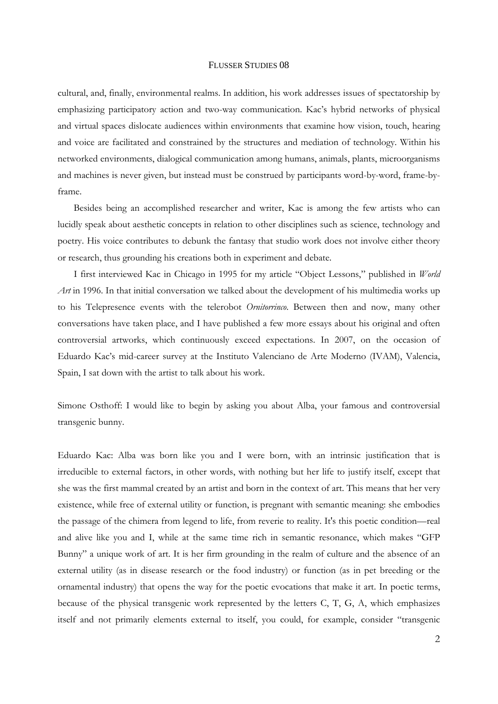cultural, and, finally, environmental realms. In addition, his work addresses issues of spectatorship by emphasizing participatory action and two-way communication. Kac's hybrid networks of physical and virtual spaces dislocate audiences within environments that examine how vision, touch, hearing and voice are facilitated and constrained by the structures and mediation of technology. Within his networked environments, dialogical communication among humans, animals, plants, microorganisms and machines is never given, but instead must be construed by participants word-by-word, frame-byframe.

 Besides being an accomplished researcher and writer, Kac is among the few artists who can lucidly speak about aesthetic concepts in relation to other disciplines such as science, technology and poetry. His voice contributes to debunk the fantasy that studio work does not involve either theory or research, thus grounding his creations both in experiment and debate.

 I first interviewed Kac in Chicago in 1995 for my article "Object Lessons," published in *World Art* in 1996. In that initial conversation we talked about the development of his multimedia works up to his Telepresence events with the telerobot *Ornitorrinco*. Between then and now, many other conversations have taken place, and I have published a few more essays about his original and often controversial artworks, which continuously exceed expectations. In 2007, on the occasion of Eduardo Kac's mid-career survey at the Instituto Valenciano de Arte Moderno (IVAM), Valencia, Spain, I sat down with the artist to talk about his work.

Simone Osthoff: I would like to begin by asking you about Alba, your famous and controversial transgenic bunny.

Eduardo Kac: Alba was born like you and I were born, with an intrinsic justification that is irreducible to external factors, in other words, with nothing but her life to justify itself, except that she was the first mammal created by an artist and born in the context of art. This means that her very existence, while free of external utility or function, is pregnant with semantic meaning: she embodies the passage of the chimera from legend to life, from reverie to reality. It's this poetic condition—real and alive like you and I, while at the same time rich in semantic resonance, which makes "GFP Bunny" a unique work of art. It is her firm grounding in the realm of culture and the absence of an external utility (as in disease research or the food industry) or function (as in pet breeding or the ornamental industry) that opens the way for the poetic evocations that make it art. In poetic terms, because of the physical transgenic work represented by the letters C, T, G, A, which emphasizes itself and not primarily elements external to itself, you could, for example, consider "transgenic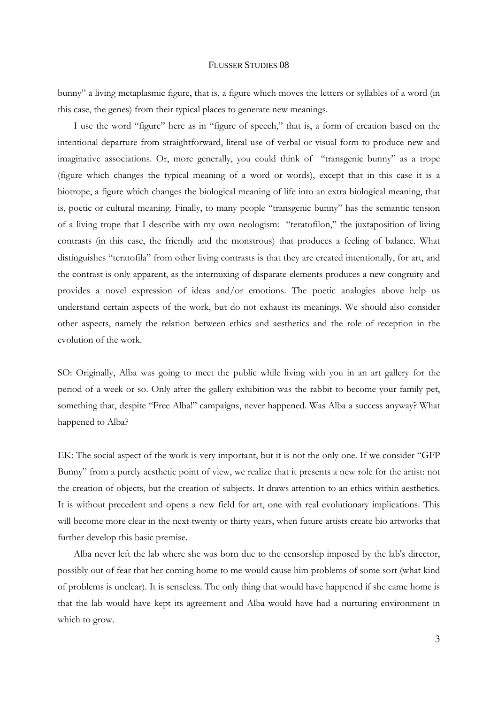bunny" a living metaplasmic figure, that is, a figure which moves the letters or syllables of a word (in this case, the genes) from their typical places to generate new meanings.

I use the word "figure" here as in "figure of speech," that is, a form of creation based on the intentional departure from straightforward, literal use of verbal or visual form to produce new and imaginative associations. Or, more generally, you could think of "transgenic bunny" as a trope (figure which changes the typical meaning of a word or words), except that in this case it is a biotrope, a figure which changes the biological meaning of life into an extra biological meaning, that is, poetic or cultural meaning. Finally, to many people "transgenic bunny" has the semantic tension of a living trope that I describe with my own neologism: "teratofilon," the juxtaposition of living contrasts (in this case, the friendly and the monstrous) that produces a feeling of balance. What distinguishes "teratofila" from other living contrasts is that they are created intentionally, for art, and the contrast is only apparent, as the intermixing of disparate elements produces a new congruity and provides a novel expression of ideas and/or emotions. The poetic analogies above help us understand certain aspects of the work, but do not exhaust its meanings. We should also consider other aspects, namely the relation between ethics and aesthetics and the role of reception in the evolution of the work.

SO: Originally, Alba was going to meet the public while living with you in an art gallery for the period of a week or so. Only after the gallery exhibition was the rabbit to become your family pet, something that, despite "Free Alba!" campaigns, never happened. Was Alba a success anyway? What happened to Alba?

EK: The social aspect of the work is very important, but it is not the only one. If we consider "GFP Bunny" from a purely aesthetic point of view, we realize that it presents a new role for the artist: not the creation of objects, but the creation of subjects. It draws attention to an ethics within aesthetics. It is without precedent and opens a new field for art, one with real evolutionary implications. This will become more clear in the next twenty or thirty years, when future artists create bio artworks that further develop this basic premise.

Alba never left the lab where she was born due to the censorship imposed by the lab's director, possibly out of fear that her coming home to me would cause him problems of some sort (what kind of problems is unclear). It is senseless. The only thing that would have happened if she came home is that the lab would have kept its agreement and Alba would have had a nurturing environment in which to grow.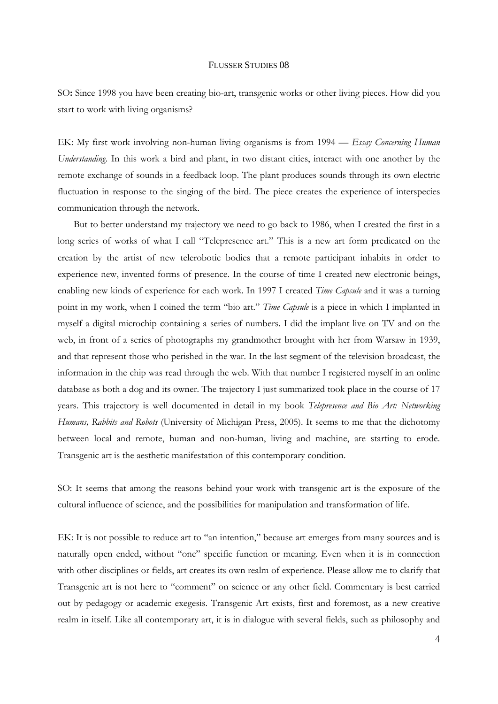SO: Since 1998 you have been creating bio-art, transgenic works or other living pieces. How did you start to work with living organisms?

EK: My first work involving non-human living organisms is from 1994 — *Essay Concerning Human Understanding*. In this work a bird and plant, in two distant cities, interact with one another by the remote exchange of sounds in a feedback loop. The plant produces sounds through its own electric fluctuation in response to the singing of the bird. The piece creates the experience of interspecies communication through the network.

But to better understand my trajectory we need to go back to 1986, when I created the first in a long series of works of what I call "Telepresence art." This is a new art form predicated on the creation by the artist of new telerobotic bodies that a remote participant inhabits in order to experience new, invented forms of presence. In the course of time I created new electronic beings, enabling new kinds of experience for each work. In 1997 I created *Time Capsule* and it was a turning point in my work, when I coined the term "bio art." *Time Capsule* is a piece in which I implanted in myself a digital microchip containing a series of numbers. I did the implant live on TV and on the web, in front of a series of photographs my grandmother brought with her from Warsaw in 1939, and that represent those who perished in the war. In the last segment of the television broadcast, the information in the chip was read through the web. With that number I registered myself in an online database as both a dog and its owner. The trajectory I just summarized took place in the course of 17 years. This trajectory is well documented in detail in my book *Telepresence and Bio Art: Networking Humans, Rabbits and Robots* (University of Michigan Press, 2005). It seems to me that the dichotomy between local and remote, human and non-human, living and machine, are starting to erode. Transgenic art is the aesthetic manifestation of this contemporary condition.

SO: It seems that among the reasons behind your work with transgenic art is the exposure of the cultural influence of science, and the possibilities for manipulation and transformation of life.

EK: It is not possible to reduce art to "an intention," because art emerges from many sources and is naturally open ended, without "one" specific function or meaning. Even when it is in connection with other disciplines or fields, art creates its own realm of experience. Please allow me to clarify that Transgenic art is not here to "comment" on science or any other field. Commentary is best carried out by pedagogy or academic exegesis. Transgenic Art exists, first and foremost, as a new creative realm in itself. Like all contemporary art, it is in dialogue with several fields, such as philosophy and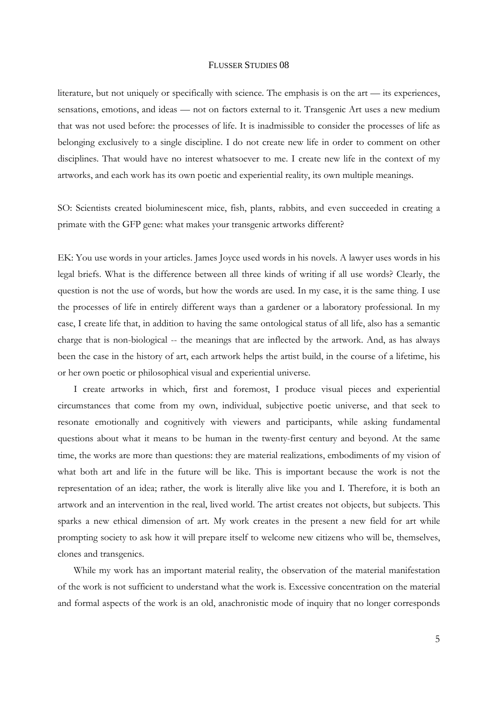literature, but not uniquely or specifically with science. The emphasis is on the art — its experiences, sensations, emotions, and ideas — not on factors external to it. Transgenic Art uses a new medium that was not used before: the processes of life. It is inadmissible to consider the processes of life as belonging exclusively to a single discipline. I do not create new life in order to comment on other disciplines. That would have no interest whatsoever to me. I create new life in the context of my artworks, and each work has its own poetic and experiential reality, its own multiple meanings.

SO: Scientists created bioluminescent mice, fish, plants, rabbits, and even succeeded in creating a primate with the GFP gene: what makes your transgenic artworks different?

EK: You use words in your articles. James Joyce used words in his novels. A lawyer uses words in his legal briefs. What is the difference between all three kinds of writing if all use words? Clearly, the question is not the use of words, but how the words are used. In my case, it is the same thing. I use the processes of life in entirely different ways than a gardener or a laboratory professional. In my case, I create life that, in addition to having the same ontological status of all life, also has a semantic charge that is non-biological -- the meanings that are inflected by the artwork. And, as has always been the case in the history of art, each artwork helps the artist build, in the course of a lifetime, his or her own poetic or philosophical visual and experiential universe.

I create artworks in which, first and foremost, I produce visual pieces and experiential circumstances that come from my own, individual, subjective poetic universe, and that seek to resonate emotionally and cognitively with viewers and participants, while asking fundamental questions about what it means to be human in the twenty-first century and beyond. At the same time, the works are more than questions: they are material realizations, embodiments of my vision of what both art and life in the future will be like. This is important because the work is not the representation of an idea; rather, the work is literally alive like you and I. Therefore, it is both an artwork and an intervention in the real, lived world. The artist creates not objects, but subjects. This sparks a new ethical dimension of art. My work creates in the present a new field for art while prompting society to ask how it will prepare itself to welcome new citizens who will be, themselves, clones and transgenics.

While my work has an important material reality, the observation of the material manifestation of the work is not sufficient to understand what the work is. Excessive concentration on the material and formal aspects of the work is an old, anachronistic mode of inquiry that no longer corresponds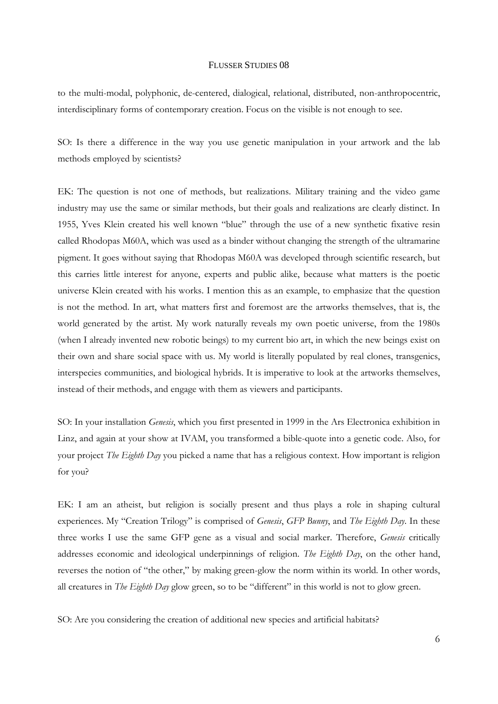to the multi-modal, polyphonic, de-centered, dialogical, relational, distributed, non-anthropocentric, interdisciplinary forms of contemporary creation. Focus on the visible is not enough to see.

SO: Is there a difference in the way you use genetic manipulation in your artwork and the lab methods employed by scientists?

EK: The question is not one of methods, but realizations. Military training and the video game industry may use the same or similar methods, but their goals and realizations are clearly distinct. In 1955, Yves Klein created his well known "blue" through the use of a new synthetic fixative resin called Rhodopas M60A, which was used as a binder without changing the strength of the ultramarine pigment. It goes without saying that Rhodopas M60A was developed through scientific research, but this carries little interest for anyone, experts and public alike, because what matters is the poetic universe Klein created with his works. I mention this as an example, to emphasize that the question is not the method. In art, what matters first and foremost are the artworks themselves, that is, the world generated by the artist. My work naturally reveals my own poetic universe, from the 1980s (when I already invented new robotic beings) to my current bio art, in which the new beings exist on their own and share social space with us. My world is literally populated by real clones, transgenics, interspecies communities, and biological hybrids. It is imperative to look at the artworks themselves, instead of their methods, and engage with them as viewers and participants.

SO: In your installation *Genesis*, which you first presented in 1999 in the Ars Electronica exhibition in Linz, and again at your show at IVAM, you transformed a bible-quote into a genetic code. Also, for your project *The Eighth Day* you picked a name that has a religious context. How important is religion for you?

EK: I am an atheist, but religion is socially present and thus plays a role in shaping cultural experiences. My "Creation Trilogy" is comprised of *Genesis*, *GFP Bunny*, and *The Eighth Day*. In these three works I use the same GFP gene as a visual and social marker. Therefore, *Genesis* critically addresses economic and ideological underpinnings of religion. *The Eighth Day*, on the other hand, reverses the notion of "the other," by making green-glow the norm within its world. In other words, all creatures in *The Eighth Day* glow green, so to be "different" in this world is not to glow green.

SO: Are you considering the creation of additional new species and artificial habitats?